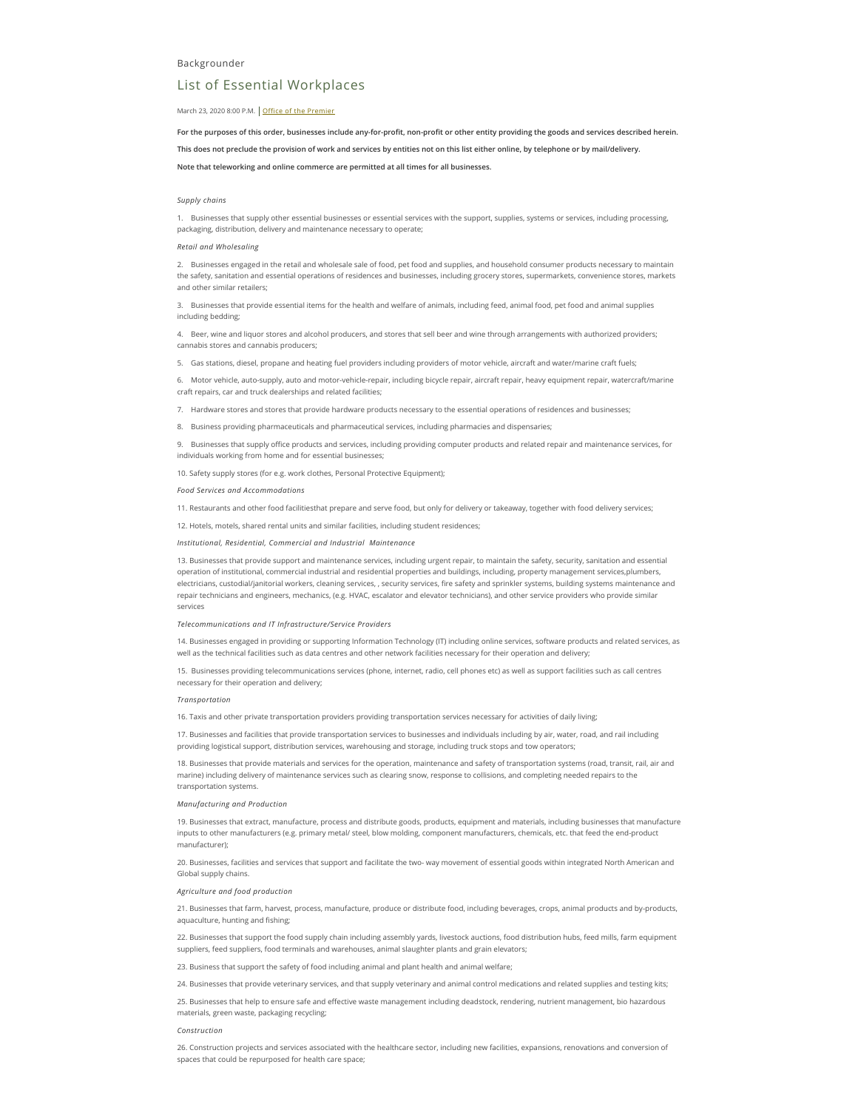# List of Essential Workplaces

### March 23, 2020 8:00 P.M. Office of the [Premier](https://news.ontario.ca/opo/en)

For the purposes of this order, businesses include any-for-profit, non-profit or other entity providing the goods and services described herein. **This does not preclude the provision of work and services by entities not on this list either online, by telephone or by mail/delivery. Note that teleworking and online commerce are permitted at all times for all businesses.**

### *Supply chains*

1. Businesses that supply other essential businesses or essential services with the support, supplies, systems or services, including processing, packaging, distribution, delivery and maintenance necessary to operate;

### *Retail and Wholesaling*

2. Businesses engaged in the retail and wholesale sale of food, pet food and supplies, and household consumer products necessary to maintain the safety, sanitation and essential operations of residences and businesses, including grocery stores, supermarkets, convenience stores, markets and other similar retailers;

3. Businesses that provide essential items for the health and welfare of animals, including feed, animal food, pet food and animal supplies including bedding;

4. Beer, wine and liquor stores and alcohol producers, and stores that sell beer and wine through arrangements with authorized providers; cannabis stores and cannabis producers;

5. Gas stations, diesel, propane and heating fuel providers including providers of motor vehicle, aircraft and water/marine craft fuels;

6. Motor vehicle, auto-supply, auto and motor-vehicle-repair, including bicycle repair, aircraft repair, heavy equipment repair, watercraft/marine craft repairs, car and truck dealerships and related facilities;

7. Hardware stores and stores that provide hardware products necessary to the essential operations of residences and businesses;

8. Business providing pharmaceuticals and pharmaceutical services, including pharmacies and dispensaries;

9. Businesses that supply office products and services, including providing computer products and related repair and maintenance services, for individuals working from home and for essential businesses;

10. Safety supply stores (for e.g. work clothes, Personal Protective Equipment);

#### *Food Services and Accommodations*

11. Restaurants and other food facilitiesthat prepare and serve food, but only for delivery or takeaway, together with food delivery services;

12. Hotels, motels, shared rental units and similar facilities, including student residences;

*Institutional, Residential, Commercial and Industrial Maintenance*

13. Businesses that provide support and maintenance services, including urgent repair, to maintain the safety, security, sanitation and essential operation of institutional, commercial industrial and residential properties and buildings, including, property management services,plumbers, electricians, custodial/janitorial workers, cleaning services, , security services, fire safety and sprinkler systems, building systems maintenance and repair technicians and engineers, mechanics, (e.g. HVAC, escalator and elevator technicians), and other service providers who provide similar services

*Telecommunications and IT Infrastructure/Service Providers*

14. Businesses engaged in providing or supporting Information Technology (IT) including online services, software products and related services, as well as the technical facilities such as data centres and other network facilities necessary for their operation and delivery;

15. Businesses providing telecommunications services (phone, internet, radio, cell phones etc) as well as support facilities such as call centres necessary for their operation and delivery;

## *Transportation*

16. Taxis and other private transportation providers providing transportation services necessary for activities of daily living;

17. Businesses and facilities that provide transportation services to businesses and individuals including by air, water, road, and rail including providing logistical support, distribution services, warehousing and storage, including truck stops and tow operators;

18. Businesses that provide materials and services for the operation, maintenance and safety of transportation systems (road, transit, rail, air and marine) including delivery of maintenance services such as clearing snow, response to collisions, and completing needed repairs to the transportation systems.

#### *Manufacturing and Production*

19. Businesses that extract, manufacture, process and distribute goods, products, equipment and materials, including businesses that manufacture inputs to other manufacturers (e.g. primary metal/ steel, blow molding, component manufacturers, chemicals, etc. that feed the end-product manufacturer);

20. Businesses, facilities and services that support and facilitate the two- way movement of essential goods within integrated North American and Global supply chains.

## *Agriculture and food production*

21. Businesses that farm, harvest, process, manufacture, produce or distribute food, including beverages, crops, animal products and by-products, aquaculture, hunting and fishing;

22. Businesses that support the food supply chain including assembly yards, livestock auctions, food distribution hubs, feed mills, farm equipment suppliers, feed suppliers, food terminals and warehouses, animal slaughter plants and grain elevators;

23. Business that support the safety of food including animal and plant health and animal welfare;

24. Businesses that provide veterinary services, and that supply veterinary and animal control medications and related supplies and testing kits;

25. Businesses that help to ensure safe and effective waste management including deadstock, rendering, nutrient management, bio hazardous materials, green waste, packaging recycling;

### *Construction*

26. Construction projects and services associated with the healthcare sector, including new facilities, expansions, renovations and conversion of spaces that could be repurposed for health care space;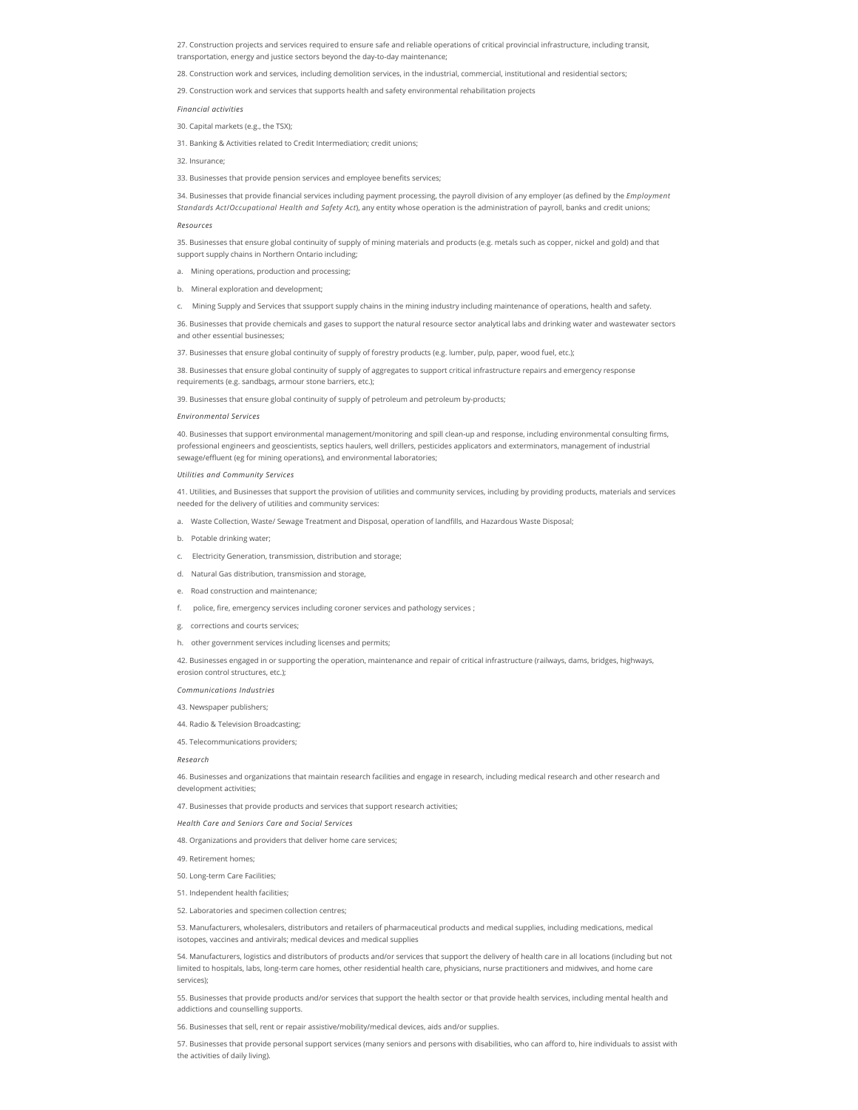27. Construction projects and services required to ensure safe and reliable operations of critical provincial infrastructure, including transit, transportation, energy and justice sectors beyond the day-to-day maintenance;

28. Construction work and services, including demolition services, in the industrial, commercial, institutional and residential sectors;

29. Construction work and services that supports health and safety environmental rehabilitation projects

*Financial activities*

30. Capital markets (e.g., the TSX);

31. Banking & Activities related to Credit Intermediation; credit unions;

32. Insurance;

33. Businesses that provide pension services and employee benefits services;

34. Businesses that provide financial services including payment processing, the payroll division of any employer (as defined by the *Employment Standards Act*/*Occupational Health and Safety Act*), any entity whose operation is the administration of payroll, banks and credit unions;

### *Resources*

35. Businesses that ensure global continuity of supply of mining materials and products (e.g. metals such as copper, nickel and gold) and that support supply chains in Northern Ontario including;

- a. Mining operations, production and processing;
- b. Mineral exploration and development;
- c. Mining Supply and Services that ssupport supply chains in the mining industry including maintenance of operations, health and safety.

36. Businesses that provide chemicals and gases to support the natural resource sector analytical labs and drinking water and wastewater sectors and other essential businesses;

37. Businesses that ensure global continuity of supply of forestry products (e.g. lumber, pulp, paper, wood fuel, etc.);

38. Businesses that ensure global continuity of supply of aggregates to support critical infrastructure repairs and emergency response requirements (e.g. sandbags, armour stone barriers, etc.);

39. Businesses that ensure global continuity of supply of petroleum and petroleum by-products;

#### *Environmental Services*

40. Businesses that support environmental management/monitoring and spill clean-up and response, including environmental consulting firms, professional engineers and geoscientists, septics haulers, well drillers, pesticides applicators and exterminators, management of industrial sewage/effluent (eg for mining operations), and environmental laboratories;

### *Utilities and Community Services*

41. Utilities, and Businesses that support the provision of utilities and community services, including by providing products, materials and services needed for the delivery of utilities and community services:

- a. Waste Collection, Waste/ Sewage Treatment and Disposal, operation of landfills, and Hazardous Waste Disposal;
- b. Potable drinking water:
- c. Electricity Generation, transmission, distribution and storage;
- d. Natural Gas distribution, transmission and storage,
- e. Road construction and maintenance:
- f. police, re, emergency services including coroner services and pathology services ;
- g. corrections and courts services;
- h. other government services including licenses and permits;

42. Businesses engaged in or supporting the operation, maintenance and repair of critical infrastructure (railways, dams, bridges, highways,

erosion control structures, etc.); *Communications Industries*

43. Newspaper publishers;

44. Radio & Television Broadcasting;

45. Telecommunications providers;

*Research*

46. Businesses and organizations that maintain research facilities and engage in research, including medical research and other research and development activities;

47. Businesses that provide products and services that support research activities;

*Health Care and Seniors Care and Social Services*

48. Organizations and providers that deliver home care services;

49. Retirement homes;

50. Long-term Care Facilities;

51. Independent health facilities;

52. Laboratories and specimen collection centres;

53. Manufacturers, wholesalers, distributors and retailers of pharmaceutical products and medical supplies, including medications, medical isotopes, vaccines and antivirals; medical devices and medical supplies

54. Manufacturers, logistics and distributors of products and/or services that support the delivery of health care in all locations (including but not limited to hospitals, labs, long-term care homes, other residential health care, physicians, nurse practitioners and midwives, and home care services);

55. Businesses that provide products and/or services that support the health sector or that provide health services, including mental health and addictions and counselling supports.

56. Businesses that sell, rent or repair assistive/mobility/medical devices, aids and/or supplies.

57. Businesses that provide personal support services (many seniors and persons with disabilities, who can afford to, hire individuals to assist with the activities of daily living).